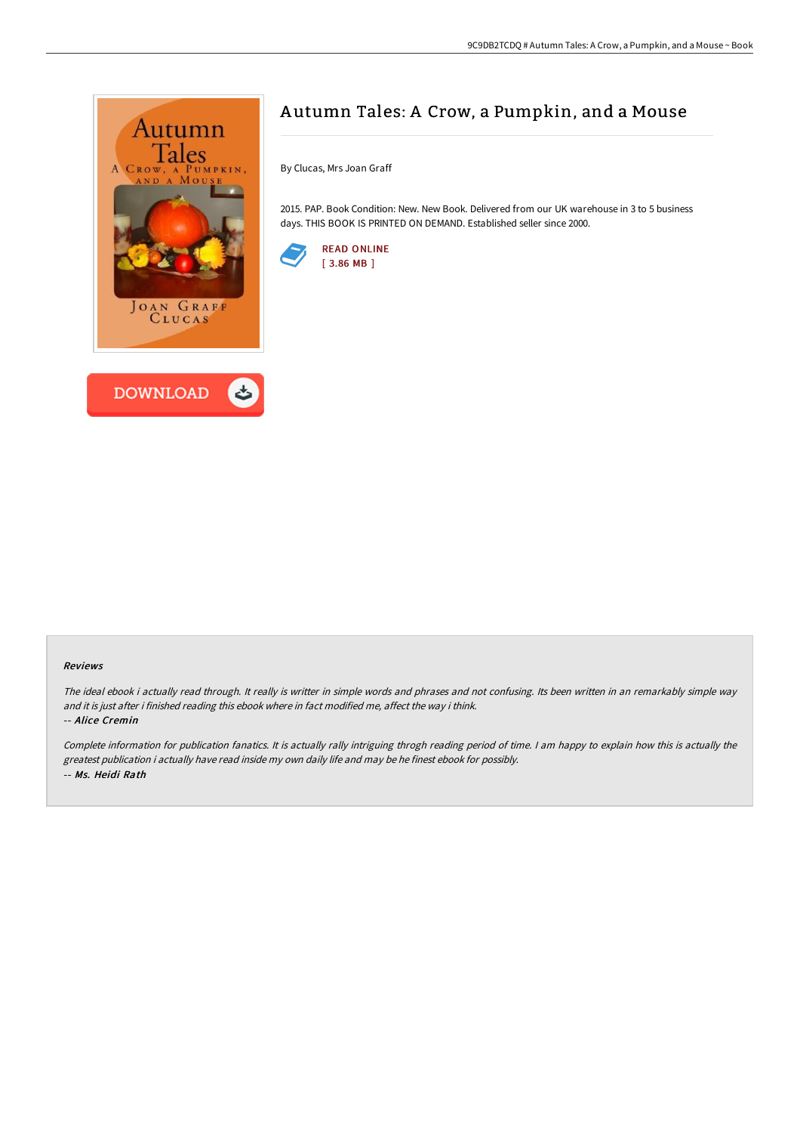



# A utumn Tales: A Crow, a Pumpkin, and a Mouse

By Clucas, Mrs Joan Graff

2015. PAP. Book Condition: New. New Book. Delivered from our UK warehouse in 3 to 5 business days. THIS BOOK IS PRINTED ON DEMAND. Established seller since 2000.



#### Reviews

The ideal ebook i actually read through. It really is writter in simple words and phrases and not confusing. Its been written in an remarkably simple way and it is just after i finished reading this ebook where in fact modified me, affect the way i think. -- Alice Cremin

Complete information for publication fanatics. It is actually rally intriguing throgh reading period of time. <sup>I</sup> am happy to explain how this is actually the greatest publication i actually have read inside my own daily life and may be he finest ebook for possibly. -- Ms. Heidi Rath